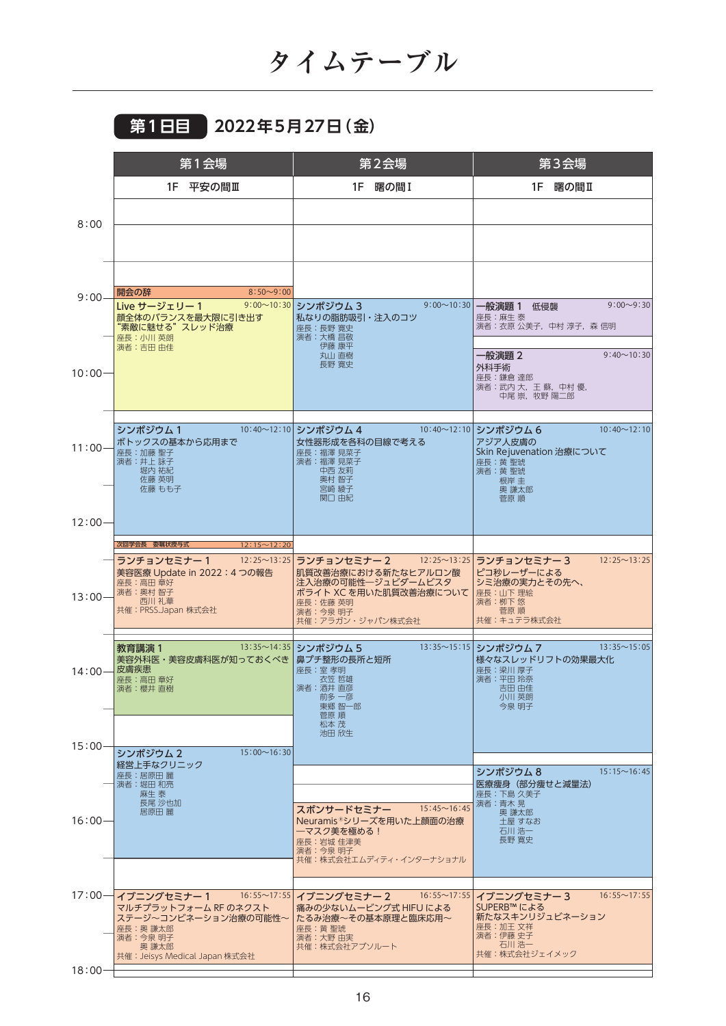## **第1日目 2022年5月27日(金)**

|           | 第1会場                                                                                                                    | 第2会場                                                                                                                                                  | 第3会場                                                                                                                          |
|-----------|-------------------------------------------------------------------------------------------------------------------------|-------------------------------------------------------------------------------------------------------------------------------------------------------|-------------------------------------------------------------------------------------------------------------------------------|
|           | 1F 平安の間Ⅲ                                                                                                                | 1F 曙の間I                                                                                                                                               | 1F 曙の間II                                                                                                                      |
|           |                                                                                                                         |                                                                                                                                                       |                                                                                                                               |
| 8:00      |                                                                                                                         |                                                                                                                                                       |                                                                                                                               |
|           | $8:50 - 9:00$<br>開会の辞                                                                                                   |                                                                                                                                                       |                                                                                                                               |
| $9:00 -$  | Live サージェリー1<br>顔全体のバランスを最大限に引き出す<br>"素敵に魅せる"スレッド治療<br>座長:小川英朗<br>演者:吉田由佳                                               | 9:00~10:30 シンポジウム3<br>私なりの脂肪吸引・注入のコツ<br>座長:長野寛史<br>演者:大橋 昌敬<br>伊藤 康平                                                                                  | 9:00~10:30 一般演題 1 低侵襲<br>$9:00 \sim 9:30$<br>座長:麻生 泰<br>演者:衣原 公美子, 中村 淳子, 森 信明                                                |
| $10:00 -$ |                                                                                                                         | 丸山 直樹<br>長野 寛史                                                                                                                                        | $9:40 \sim 10:30$<br>一般演題 2<br>外科手術<br>座長:鎌倉達郎<br>演者:武内 大,王 蘇,中村 優,<br>中尾 崇,牧野 陽二郎                                            |
| $11:00 -$ | シンポジウム1<br>ボトックスの基本から応用まで<br>座長:加藤 聖子<br>演者:井上 詠子<br>堀内 祐紀<br>佐藤 英明<br>佐藤 もも子                                           | 10:40~12:10 シンポジウム4<br>女性器形成を各科の目線で考える<br>座長:福澤 見菜子<br>演者:福澤 見菜子<br>中西 友莉<br>奥村 智子<br>宮崎 綾子<br>関口 由紀                                                  | $10:40 \sim 12:10$<br>10:40~12:10 シンポジウム6<br>アジア人皮膚の<br>Skin Rejuvenation 治療について<br>座長:黄聖琥<br>演者:黄聖琥<br>根岸 圭<br>奥 謙太郎<br>菅原 順 |
| $12:00 -$ |                                                                                                                         |                                                                                                                                                       |                                                                                                                               |
|           | 次回学会長 委嘱状授与式<br>$12:15 \sim 12:20$                                                                                      |                                                                                                                                                       |                                                                                                                               |
| $13:00 -$ | $12:25 \sim 13:25$<br>ランチョンセミナー 1<br>美容医療 Update in 2022:4 つの報告<br>座長:高田 章好<br>演者: 奥村 智子<br>西川 礼華<br>共催:PRSS.Japan 株式会社 | ランチョンセミナー 2 12:25~13:25 ランチョンセミナー 3<br>肌質改善治療における新たなヒアルロン酸<br>注入治療の可能性一ジュビダームビスタ<br>ボライト XC を用いた肌質改善治療について<br>座長:佐藤 英明<br>演者:今泉明子<br>共催:アラガン・ジャパン株式会社 | $12:25 \sim 13:25$<br>ピコ秒レーザーによる<br>シミ治療の実力とその先へ、<br>座長:山下理絵<br>演者: 栁下 悠<br>菅原 順<br>共催:キュテラ株式会社                               |
| $14:00 -$ | 教育講演 1<br>美容外科医・美容皮膚科医が知っておくべき   鼻プチ整形の長所と短所<br>- 皮膚疾患<br>座長:高田 章好<br>演者:櫻井 直樹                                          | 13:35~14:35 シンポジウム 5<br>座長:室孝明<br>衣笠 哲雄<br>演者:酒井 直彦<br>刖多 一彦<br>東郷 智一郎<br>菅原 順                                                                        | 13:35~15:15 シンポジウム7<br>$13:35 \sim 15:05$<br>様々なスレッドリフトの効果最大化<br>座長:梁川厚子<br>演者:平田玲奈<br>吉田由佳<br>小川 央朗<br>今泉 明子                 |
|           |                                                                                                                         | 松本茂<br>池田 欣生                                                                                                                                          |                                                                                                                               |
| $15:00 -$ | $15:00 \sim 16:30$<br>シンポジウム 2<br>経営上手なクリニック                                                                            |                                                                                                                                                       |                                                                                                                               |
|           | 座長:居原田 麗<br>演者:堀田 和亮<br>麻生 泰<br>長尾 沙也加<br>居原田 麗                                                                         | スポンサードセミナー<br>$15:45 \sim 16:45$                                                                                                                      | $15:15 \sim 16:45$<br>シンポジウム 8<br>医療痩身 (部分痩せと減量法)<br>座長:下島 久美子<br>演者:青木 晃<br>奥 謙太郎                                            |
| $16:00 -$ |                                                                                                                         | Neuramis®シリーズを用いた上顔面の治療<br>一マスク美を極める!<br>座長:岩城 佳津美<br>演者:今泉 明子<br>共催:株式会社エムディティ・インターナショナル                                                             | 土屋 すなお<br>石川浩一<br>長野 寛史                                                                                                       |
| $17:00-$  | イブニングセミナー1                                                                                                              | 16:55~17:55 イブニングセミナー2<br>$16:55 \sim 17:55$                                                                                                          | $16:55 \sim 17:55$<br>イブニングセミナー3                                                                                              |
|           | マルチプラットフォーム RF のネクスト<br>ステージ~コンビネーション治療の可能性~<br>座長:奥 謙太郎<br>演者:今泉明子<br>奥 謙太郎<br>共催: Jeisys Medical Japan 株式会社           | 痛みの少ないムービング式 HIFU による<br>たるみ治療~その基本原理と臨床応用~<br>座長:黄 聖琥<br>演者:大野由実<br>共催:株式会社アブソルート                                                                    | SUPERB™ による<br>新たなスキンリジュビネーション<br>座長:加王文祥<br>演者:伊藤 史子<br>石川 浩一<br>共催:株式会社ジェイメック                                               |
| $18:00 -$ |                                                                                                                         |                                                                                                                                                       |                                                                                                                               |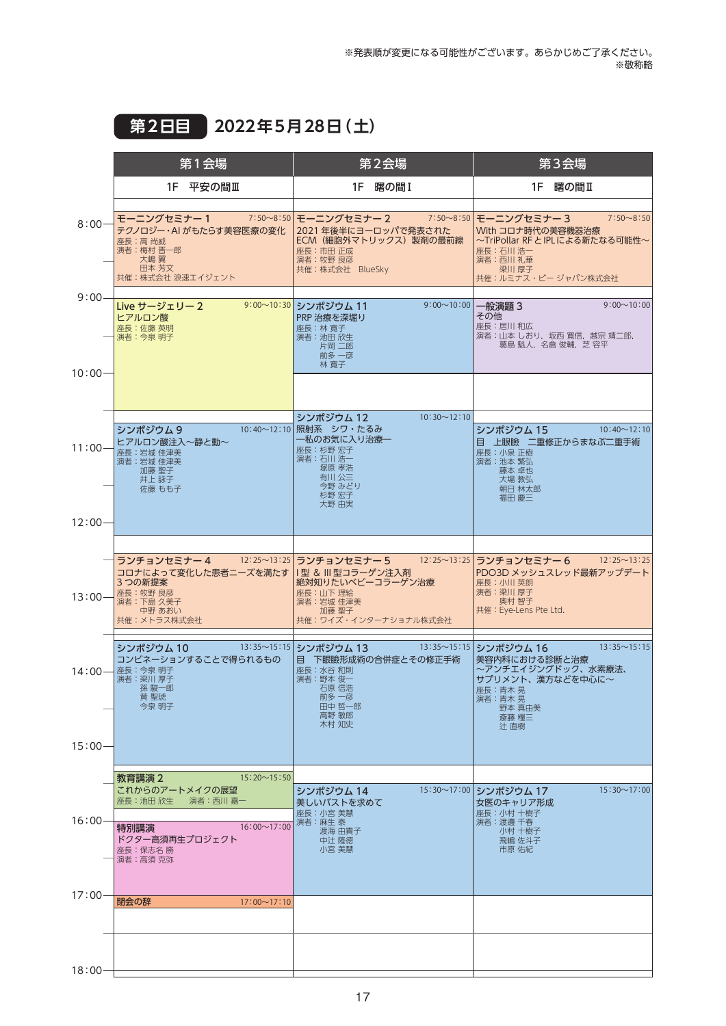## **第2日目 2022年5月28日(土)**

|                        | 第1会場                                                                                                                                          | 第2会場                                                                                                                                                | 第3会場                                                                                                                                                   |
|------------------------|-----------------------------------------------------------------------------------------------------------------------------------------------|-----------------------------------------------------------------------------------------------------------------------------------------------------|--------------------------------------------------------------------------------------------------------------------------------------------------------|
|                        | 1F 平安の間Ⅲ                                                                                                                                      | 1F 曙の間 I                                                                                                                                            | 1F 曙の間II                                                                                                                                               |
| $8:00 -$               | モーニングセミナー 1<br>テクノロジー・AI がもたらす美容医療の変化<br>座長:高 尚威<br>演者:梅村 晋一郎<br>大嶋翼<br>田本 芳文<br>共催:株式会社 浪速エイジェント                                             | 7:50~8:50 モーニングセミナー 2<br>2021 年後半にヨーロッパで発表された<br>ECM (細胞外マトリックス) 製剤の最前線<br>座長:市田正成<br>演者:牧野 良彦<br>共催:株式会社 BlueSky                                   | 7:50~8:50 モーニングセミナー3<br>$7:50 \sim 8:50$<br>With コロナ時代の美容機器治療<br>~TriPollar RF と IPL による新たなる可能性~<br>座長:石川 浩一<br>演者:西川礼華<br>梁川 厚子<br>共催:ルミナス・ビージャパン株式会社 |
| $9:00 -$<br>$10:00 -$  | Live サージェリー 2<br>ヒアルロン酸<br>座長:佐藤 英明<br>演者:今泉明子                                                                                                | 9:00~10:30 シンポジウム 11<br>9:00~10:00 一般演題 3<br>PRP 治療を深堀り<br>座長:林寛子<br>演者:池田欣生<br>片岡 二郎<br>前多 一彦<br>林 寛子                                              | $9:00 \sim 10:00$<br>その他<br>座長:居川和広<br>演者:山本 しおり,坂西 寛信,越宗 靖二郎,<br>葛島 魁人,名倉 俊輔,芝 容平                                                                     |
|                        |                                                                                                                                               |                                                                                                                                                     |                                                                                                                                                        |
| $11:00 -$              | シンポジウム9<br>ヒアルロン酸注入~静と動~<br>座長:岩城 佳津美<br>演者:岩城 佳津美<br>加藤 聖子<br>井上 詠子<br>佐藤 もも子                                                                | $10:30 \sim 12:10$<br>シンポジウム 12<br>10:40~12:10 照射系 シワ・たるみ<br>―私のお気に入り治療―<br>座長:杉野宏子<br>演者:石川 浩一<br>塚原 孝浩<br>有川公三<br>今野 みどり<br>杉野 宏子<br>大野 由実        | シンポジウム 15<br>$10:40 \sim 12:10$<br>目 上眼瞼 二重修正からまなぶ二重手術<br>座長:小泉正樹<br>演者: 池本 繁弘<br>藤本 卓也<br>大場 教弘<br>朝日 林太郎<br>福田 慶三                                    |
| $12:00 -$              |                                                                                                                                               |                                                                                                                                                     |                                                                                                                                                        |
| $13:00 -$              | ランチョンセミナー 4<br>コロナによって変化した患者ニーズを満たす<br>3 つの新提案<br>座長:牧野良彦<br>演者:下島久美子<br>中野 あおい<br>共催:メトラス株式会社                                                | - 12:25~13:25 ランチョンセミナー 5 → 12:25~13:25 ランチョンセミナー 6<br>Ⅰ型 & Ⅲ型コラーゲン注入剤<br>絶対知りたいベビーコラーゲン治療<br>座長:山下理絵<br>演者:岩城 佳津美<br>加藤 聖子<br>共催:ワイズ・インターナショナル株式会社 | $12:25 \sim 13:25$<br>PDO3D メッシュスレッド最新アップデート<br>座長:小川英朗<br>演者:梁川厚子<br>奥村 智子<br>共催: Eye-Lens Pte Ltd.                                                   |
| $14:00-$               | シンポジウム 10<br>コンビネーションすることで得られるもの<br>座長:今泉明子<br>演者:梁川厚子<br>孫 駿一郎<br>黄 聖琥<br>今泉 明子                                                              | 13:35~15:15 シンポジウム 13<br>目 下眼瞼形成術の合併症とその修正手術<br>座長:水谷和則<br>演者:野本俊一<br>石原 信浩<br>前多 一彦<br>田中 哲一郎<br>高野 敏郎<br>木村 知史                                    | 13:35~15:15 シンポジウム 16<br>$13:35 \sim 15:15$<br>美容内科における診断と治療<br>~アンチエイジングドック、水素療法、<br>サプリメント、漢方などを中心に~<br>座長:青木晃<br>凍者:青不 晃<br>野本 真由美<br>斎藤 糧三<br>辻 直樹 |
| $15:00 -$              |                                                                                                                                               |                                                                                                                                                     |                                                                                                                                                        |
| $16:00 -$<br>$17:00 -$ | $15:20 \sim 15:50$<br>教育講演 2<br>これからのアートメイクの展望<br>座長:池田 欣生<br>演者:西川 嘉一<br>$16:00 \sim 17:00$<br>特別講演<br>ドクター高須再生プロジェクト<br>座長:保志名勝<br>演者:高須 克弥 | シンポジウム 14<br>美しいバストを求めて<br>座長:小宮 美慧<br>演者:麻生 泰<br>渡海 由貴子<br>中辻 隆徳<br>小宮 美慧                                                                          | 15:30~17:00 シンポジウム 17<br>$15:30 \sim 17:00$<br>女医のキャリア形成<br>座長:小村 十樹子<br>演者:渡邊千春<br>小村 十樹子<br>飛嶋 佐斗子<br>市原 佑紀                                          |
|                        | 閉会の辞<br>$17:00 \sim 17:10$                                                                                                                    |                                                                                                                                                     |                                                                                                                                                        |
|                        |                                                                                                                                               |                                                                                                                                                     |                                                                                                                                                        |
| $18:00 -$              |                                                                                                                                               |                                                                                                                                                     |                                                                                                                                                        |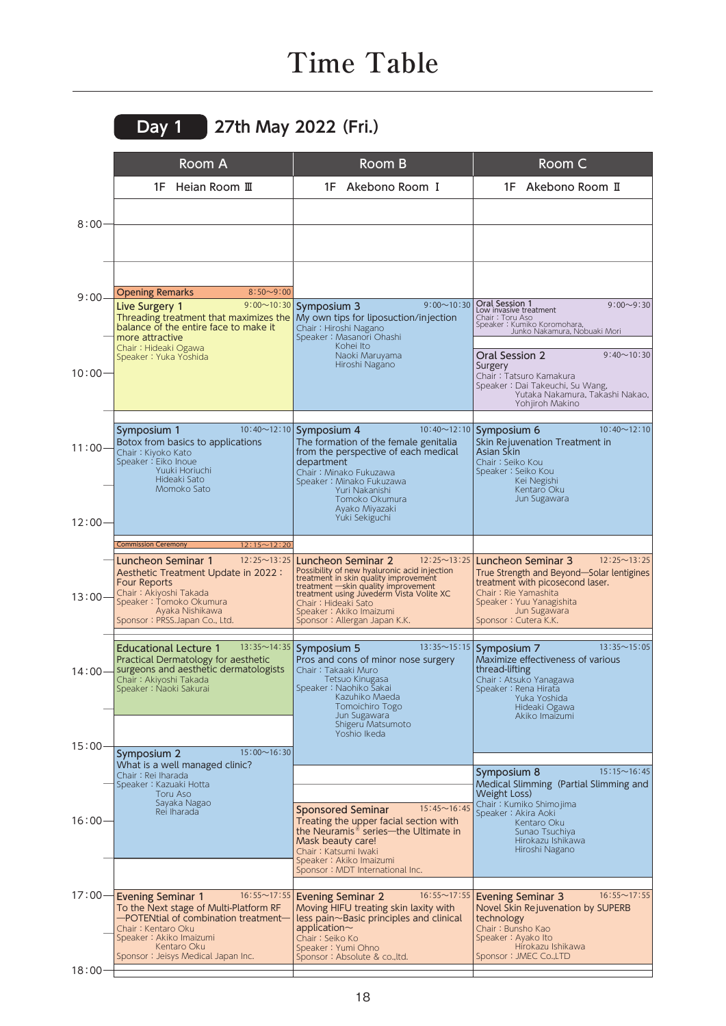## **Time Table**

|                       | Room A                                                                                                                                                                                                                                | Room B                                                                                                                                                                                                                                                                                                 | Room C                                                                                                                                                                                                                |
|-----------------------|---------------------------------------------------------------------------------------------------------------------------------------------------------------------------------------------------------------------------------------|--------------------------------------------------------------------------------------------------------------------------------------------------------------------------------------------------------------------------------------------------------------------------------------------------------|-----------------------------------------------------------------------------------------------------------------------------------------------------------------------------------------------------------------------|
|                       | 1F Heian Room III                                                                                                                                                                                                                     | 1F Akebono Room I                                                                                                                                                                                                                                                                                      | 1F Akebono Room II                                                                                                                                                                                                    |
| $8:00 -$              |                                                                                                                                                                                                                                       |                                                                                                                                                                                                                                                                                                        |                                                                                                                                                                                                                       |
| $9:00 -$<br>$10:00 -$ | $8:50 - 9:00$<br><b>Opening Remarks</b><br>$9:00 \sim 10:30$<br>Live Surgery 1<br>Threading treatment that maximizes the<br>balance of the entire face to make it<br>more attractive<br>Chair: Hideaki Ogawa<br>Speaker: Yuka Yoshida | $9:00 \sim 10:30$<br>Symposium 3<br>My own tips for liposuction/injection<br>Chair: Hiroshi Nagano<br>Speaker: Masanori Ohashi<br>Kohei Ito<br>Naoki Maruyama<br>Hiroshi Nagano                                                                                                                        | Oral Session 1<br>$9:00 - 9:30$<br>Low invasive treatment<br>Chair: Toru Aso<br>Speaker: Kumiko Koromohara,<br>Junko Nakamura, Nobuaki Mori<br>$9:40 \sim 10:30$<br>Oral Session 2<br>Surgery                         |
|                       |                                                                                                                                                                                                                                       |                                                                                                                                                                                                                                                                                                        | Chair: Tatsuro Kamakura<br>Speaker: Dai Takeuchi, Su Wang,<br>Yutaka Nakamura, Takashi Nakao,<br>Yohjiroh Makino                                                                                                      |
| 11:00-<br>$12:00 -$   | Symposium 1<br>Botox from basics to applications<br>Chair: Kiyoko Kato<br>Speaker: Eiko Inoue<br>Yuuki Horiuchi<br>Hideaki Sato<br>Momoko Sato                                                                                        | 10:40~12:10 Symposium 4<br>The formation of the female genitalia<br>from the perspective of each medical<br>department<br>Chair: Minako Fukuzawa<br>Speaker: Minako Fukuzawa<br>Yuri Nakanishi<br>Tomoko Okumura<br>Ayako Miyazaki<br>Yuki Sekiguchi                                                   | $10:40 \sim 12:10$<br>10:40~12:10 Symposium 6<br>Skin Rejuvenation Treatment in<br><b>Asian Skin</b><br>Chair: Seiko Kou<br>Speaker: Seiko Kou<br>Kei Negishi<br>Kentaro Oku<br>Jun Sugawara                          |
|                       | $12:15 \sim 12:20$<br><b>Commission Ceremony</b>                                                                                                                                                                                      |                                                                                                                                                                                                                                                                                                        |                                                                                                                                                                                                                       |
| $13:00 -$             | $12:25 \sim 13:25$<br>Luncheon Seminar 1<br>Aesthetic Treatment Update in 2022:<br><b>Four Reports</b><br>Chair: Akiyoshi Takada<br>Speaker: Tomoko Okumura<br>Ayaka Nishikawa<br>Sponsor: PRSS.Japan Co., Ltd.                       | $12:25 \sim 13:25$<br>Luncheon Seminar 2<br>Possibility of new hyaluronic acid injection<br>treatment in skin quality improvement<br>treatment -skin quality improvement<br>treatment using Juvederm Vista Volite XC<br>Chair: Hideaki Sato<br>Speaker: Akiko Imaizumi<br>Sponsor: Allergan Japan K.K. | $12:25 \sim 13:25$<br>Luncheon Seminar 3<br>True Strength and Beyond-Solar lentigines<br>treatment with picosecond laser.<br>Chair: Rie Yamashita<br>Speaker: Yuu Yanagishita<br>Jun Sugawara<br>Sponsor: Cutera K.K. |
|                       | <b>Educational Lecture 1</b><br>Practical Dermatology for aesthetic<br>14:00-Surgeons and aesthetic dermatologists<br>Chair: Akiyoshi Takada<br>Speaker: Naoki Sakurai                                                                | 13:35~14:35 Symposium 5<br>Pros and cons of minor nose surgery<br>Chair: Takaaki Muro<br>Tetsuo Kinugasa<br>Speaker: Naohiko Sakai<br>Kazuhiko Maeda<br>Tomoichiro Togo<br>Jun Sugawara<br>Shigeru Matsumoto<br>Yoshio Ikeda                                                                           | 13:35~15:15 Symposium 7<br>$13:35 \sim 15:05$<br>Maximize effectiveness of various<br>thread-lifting<br>Chair: Atsuko Yanagawa<br>Speaker: Rena Hirata<br>Yuka Yoshida<br>Hideaki Ogawa<br>Akiko Imaizumi             |
| $15:00 -$             | $15:00 \sim 16:30$<br>Symposium 2<br>What is a well managed clinic?                                                                                                                                                                   |                                                                                                                                                                                                                                                                                                        |                                                                                                                                                                                                                       |
| $16:00 -$             | Chair: Rei Iharada<br>Speaker: Kazuaki Hotta<br>Toru Aso<br>Sayaka Nagao<br>Rei Iharada                                                                                                                                               | $15:45 \sim 16:45$<br><b>Sponsored Seminar</b><br>Treating the upper facial section with<br>the Neuramis <sup>®</sup> series-the Ultimate in<br>Mask beauty care!<br>Chair: Katsumi Iwaki<br>Speaker: Akiko Imaizumi<br>Sponsor: MDT International Inc.                                                | $15:15 \sim 16:45$<br>Symposium 8<br>Medical Slimming (Partial Slimming and<br>Weight Loss)<br>Chair: Kumiko Shimojima<br>Speaker: Akira Aoki<br>Kentaro Oku<br>Sunao Tsuchiya<br>Hirokazu Ishikawa<br>Hiroshi Nagano |
| $17:00 -$             | $16:55 \sim 17:55$<br><b>Evening Seminar 1</b><br>To the Next stage of Multi-Platform RF<br>-POTENtial of combination treatment-<br>Chair: Kentaro Oku<br>Speaker: Akiko Imaizumi<br>Kentaro Oku                                      | $16:55 \sim 17:55$<br><b>Evening Seminar 2</b><br>Moving HIFU treating skin laxity with<br>$less$ pain $\sim$ Basic principles and clinical<br>application $\sim$<br>Chair: Seiko Ko<br>Speaker: Yumi Ohno                                                                                             | $16:55 \sim 17:55$<br><b>Evening Seminar 3</b><br>Novel Skin Rejuvenation by SUPERB<br>technology<br>Chair : Bunsho Kao<br>Speaker: Ayako Ito<br>Hirokazu Ishikawa                                                    |
|                       | Sponsor: Jeisys Medical Japan Inc.                                                                                                                                                                                                    | Sponsor: Absolute & co., ltd.                                                                                                                                                                                                                                                                          | Sponsor: JMEC Co.,LTD                                                                                                                                                                                                 |